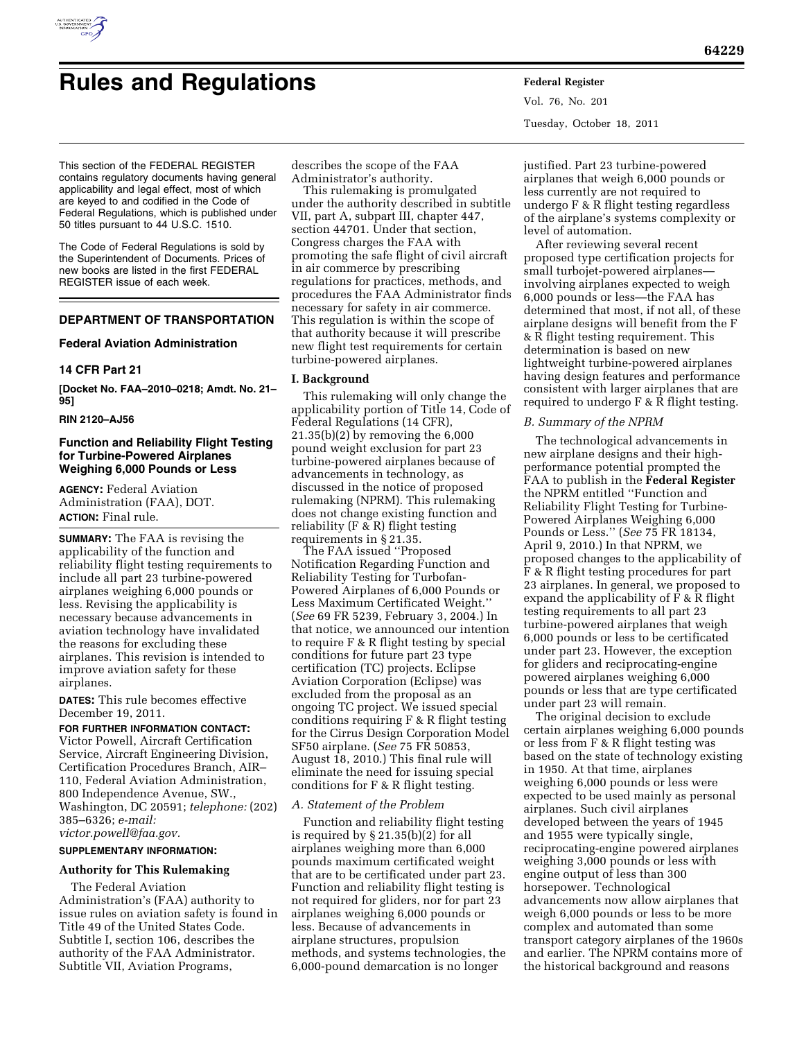

# **Rules and Regulations Federal Register**

Vol. 76, No. 201 Tuesday, October 18, 2011

This section of the FEDERAL REGISTER contains regulatory documents having general applicability and legal effect, most of which are keyed to and codified in the Code of Federal Regulations, which is published under 50 titles pursuant to 44 U.S.C. 1510.

The Code of Federal Regulations is sold by the Superintendent of Documents. Prices of new books are listed in the first FEDERAL REGISTER issue of each week.

# **DEPARTMENT OF TRANSPORTATION**

## **Federal Aviation Administration**

### **14 CFR Part 21**

**[Docket No. FAA–2010–0218; Amdt. No. 21– 95]** 

## **RIN 2120–AJ56**

# **Function and Reliability Flight Testing for Turbine-Powered Airplanes Weighing 6,000 Pounds or Less**

**AGENCY:** Federal Aviation Administration (FAA), DOT. **ACTION:** Final rule.

**SUMMARY:** The FAA is revising the applicability of the function and reliability flight testing requirements to include all part 23 turbine-powered airplanes weighing 6,000 pounds or less. Revising the applicability is necessary because advancements in aviation technology have invalidated the reasons for excluding these airplanes. This revision is intended to improve aviation safety for these airplanes.

**DATES:** This rule becomes effective December 19, 2011.

#### **FOR FURTHER INFORMATION CONTACT:**

Victor Powell, Aircraft Certification Service, Aircraft Engineering Division, Certification Procedures Branch, AIR– 110, Federal Aviation Administration, 800 Independence Avenue, SW., Washington, DC 20591; *telephone:* (202) 385–6326; *e-mail: [victor.powell@faa.gov.](mailto:victor.powell@faa.gov)* 

### **SUPPLEMENTARY INFORMATION:**

# **Authority for This Rulemaking**

The Federal Aviation Administration's (FAA) authority to issue rules on aviation safety is found in Title 49 of the United States Code. Subtitle I, section 106, describes the authority of the FAA Administrator. Subtitle VII, Aviation Programs,

describes the scope of the FAA Administrator's authority.

This rulemaking is promulgated under the authority described in subtitle VII, part A, subpart III, chapter 447, section 44701. Under that section, Congress charges the FAA with promoting the safe flight of civil aircraft in air commerce by prescribing regulations for practices, methods, and procedures the FAA Administrator finds necessary for safety in air commerce. This regulation is within the scope of that authority because it will prescribe new flight test requirements for certain turbine-powered airplanes.

## **I. Background**

This rulemaking will only change the applicability portion of Title 14, Code of Federal Regulations (14 CFR), 21.35(b)(2) by removing the 6,000 pound weight exclusion for part 23 turbine-powered airplanes because of advancements in technology, as discussed in the notice of proposed rulemaking (NPRM). This rulemaking does not change existing function and reliability (F & R) flight testing requirements in § 21.35.

The FAA issued ''Proposed Notification Regarding Function and Reliability Testing for Turbofan-Powered Airplanes of 6,000 Pounds or Less Maximum Certificated Weight.'' (*See* 69 FR 5239, February 3, 2004.) In that notice, we announced our intention to require F & R flight testing by special conditions for future part 23 type certification (TC) projects. Eclipse Aviation Corporation (Eclipse) was excluded from the proposal as an ongoing TC project. We issued special conditions requiring F & R flight testing for the Cirrus Design Corporation Model SF50 airplane. (*See* 75 FR 50853, August 18, 2010.) This final rule will eliminate the need for issuing special conditions for F & R flight testing.

## *A. Statement of the Problem*

Function and reliability flight testing is required by § 21.35(b)(2) for all airplanes weighing more than 6,000 pounds maximum certificated weight that are to be certificated under part 23. Function and reliability flight testing is not required for gliders, nor for part 23 airplanes weighing 6,000 pounds or less. Because of advancements in airplane structures, propulsion methods, and systems technologies, the 6,000-pound demarcation is no longer

justified. Part 23 turbine-powered airplanes that weigh 6,000 pounds or less currently are not required to undergo F & R flight testing regardless of the airplane's systems complexity or level of automation.

After reviewing several recent proposed type certification projects for small turbojet-powered airplanes involving airplanes expected to weigh 6,000 pounds or less—the FAA has determined that most, if not all, of these airplane designs will benefit from the F & R flight testing requirement. This determination is based on new lightweight turbine-powered airplanes having design features and performance consistent with larger airplanes that are required to undergo F & R flight testing.

### *B. Summary of the NPRM*

The technological advancements in new airplane designs and their highperformance potential prompted the FAA to publish in the **Federal Register**  the NPRM entitled ''Function and Reliability Flight Testing for Turbine-Powered Airplanes Weighing 6,000 Pounds or Less.'' (*See* 75 FR 18134, April 9, 2010.) In that NPRM, we proposed changes to the applicability of F & R flight testing procedures for part 23 airplanes. In general, we proposed to expand the applicability of F & R flight testing requirements to all part 23 turbine-powered airplanes that weigh 6,000 pounds or less to be certificated under part 23. However, the exception for gliders and reciprocating-engine powered airplanes weighing 6,000 pounds or less that are type certificated under part 23 will remain.

The original decision to exclude certain airplanes weighing 6,000 pounds or less from F & R flight testing was based on the state of technology existing in 1950. At that time, airplanes weighing 6,000 pounds or less were expected to be used mainly as personal airplanes. Such civil airplanes developed between the years of 1945 and 1955 were typically single, reciprocating-engine powered airplanes weighing 3,000 pounds or less with engine output of less than 300 horsepower. Technological advancements now allow airplanes that weigh 6,000 pounds or less to be more complex and automated than some transport category airplanes of the 1960s and earlier. The NPRM contains more of the historical background and reasons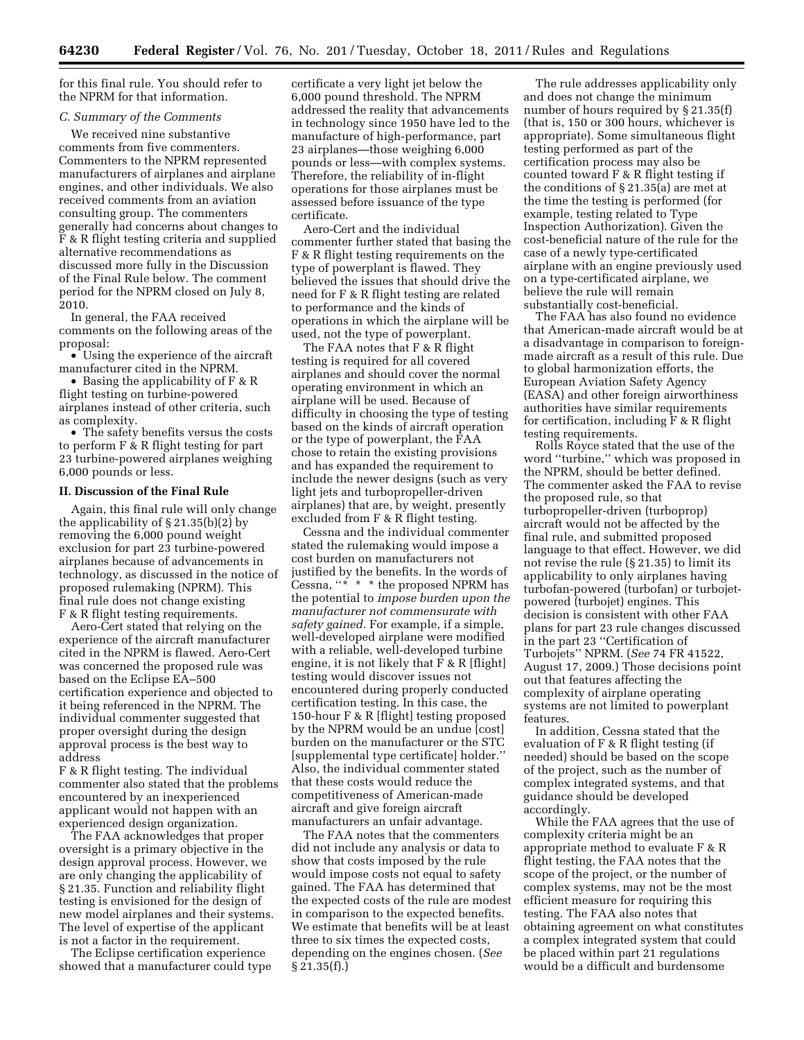for this final rule. You should refer to the NPRM for that information.

# *C. Summary of the Comments*

We received nine substantive comments from five commenters. Commenters to the NPRM represented manufacturers of airplanes and airplane engines, and other individuals. We also received comments from an aviation consulting group. The commenters generally had concerns about changes to F & R flight testing criteria and supplied alternative recommendations as discussed more fully in the Discussion of the Final Rule below. The comment period for the NPRM closed on July 8, 2010.

In general, the FAA received comments on the following areas of the proposal:

• Using the experience of the aircraft manufacturer cited in the NPRM.

• Basing the applicability of F & R flight testing on turbine-powered airplanes instead of other criteria, such as complexity.

• The safety benefits versus the costs to perform F & R flight testing for part 23 turbine-powered airplanes weighing 6,000 pounds or less.

#### **II. Discussion of the Final Rule**

Again, this final rule will only change the applicability of § 21.35(b)(2) by removing the 6,000 pound weight exclusion for part 23 turbine-powered airplanes because of advancements in technology, as discussed in the notice of proposed rulemaking (NPRM). This final rule does not change existing F & R flight testing requirements.

Aero-Cert stated that relying on the experience of the aircraft manufacturer cited in the NPRM is flawed. Aero-Cert was concerned the proposed rule was based on the Eclipse EA–500 certification experience and objected to it being referenced in the NPRM. The individual commenter suggested that proper oversight during the design approval process is the best way to address

F & R flight testing. The individual commenter also stated that the problems encountered by an inexperienced applicant would not happen with an experienced design organization.

The FAA acknowledges that proper oversight is a primary objective in the design approval process. However, we are only changing the applicability of § 21.35. Function and reliability flight testing is envisioned for the design of new model airplanes and their systems. The level of expertise of the applicant is not a factor in the requirement.

The Eclipse certification experience showed that a manufacturer could type certificate a very light jet below the 6,000 pound threshold. The NPRM addressed the reality that advancements in technology since 1950 have led to the manufacture of high-performance, part 23 airplanes—those weighing 6,000 pounds or less—with complex systems. Therefore, the reliability of in-flight operations for those airplanes must be assessed before issuance of the type certificate.

Aero-Cert and the individual commenter further stated that basing the F & R flight testing requirements on the type of powerplant is flawed. They believed the issues that should drive the need for F & R flight testing are related to performance and the kinds of operations in which the airplane will be used, not the type of powerplant.

The FAA notes that F & R flight testing is required for all covered airplanes and should cover the normal operating environment in which an airplane will be used. Because of difficulty in choosing the type of testing based on the kinds of aircraft operation or the type of powerplant, the FAA chose to retain the existing provisions and has expanded the requirement to include the newer designs (such as very light jets and turbopropeller-driven airplanes) that are, by weight, presently excluded from F & R flight testing.

Cessna and the individual commenter stated the rulemaking would impose a cost burden on manufacturers not justified by the benefits. In the words of Cessna, ''\* \* \* the proposed NPRM has the potential to *impose burden upon the manufacturer not commensurate with safety gained.* For example, if a simple, well-developed airplane were modified with a reliable, well-developed turbine engine, it is not likely that F & R [flight] testing would discover issues not encountered during properly conducted certification testing. In this case, the 150-hour F & R [flight] testing proposed by the NPRM would be an undue [cost] burden on the manufacturer or the STC [supplemental type certificate] holder.'' Also, the individual commenter stated that these costs would reduce the competitiveness of American-made aircraft and give foreign aircraft manufacturers an unfair advantage.

The FAA notes that the commenters did not include any analysis or data to show that costs imposed by the rule would impose costs not equal to safety gained. The FAA has determined that the expected costs of the rule are modest in comparison to the expected benefits. We estimate that benefits will be at least three to six times the expected costs, depending on the engines chosen. (*See*  § 21.35(f).)

The rule addresses applicability only and does not change the minimum number of hours required by § 21.35(f) (that is, 150 or 300 hours, whichever is appropriate). Some simultaneous flight testing performed as part of the certification process may also be counted toward F & R flight testing if the conditions of  $\S 21.35(a)$  are met at the time the testing is performed (for example, testing related to Type Inspection Authorization). Given the cost-beneficial nature of the rule for the case of a newly type-certificated airplane with an engine previously used on a type-certificated airplane, we believe the rule will remain substantially cost-beneficial.

The FAA has also found no evidence that American-made aircraft would be at a disadvantage in comparison to foreignmade aircraft as a result of this rule. Due to global harmonization efforts, the European Aviation Safety Agency (EASA) and other foreign airworthiness authorities have similar requirements for certification, including F & R flight testing requirements.

Rolls Royce stated that the use of the word ''turbine,'' which was proposed in the NPRM, should be better defined. The commenter asked the FAA to revise the proposed rule, so that turbopropeller-driven (turboprop) aircraft would not be affected by the final rule, and submitted proposed language to that effect. However, we did not revise the rule (§ 21.35) to limit its applicability to only airplanes having turbofan-powered (turbofan) or turbojetpowered (turbojet) engines. This decision is consistent with other FAA plans for part 23 rule changes discussed in the part 23 ''Certification of Turbojets'' NPRM. (*See* 74 FR 41522, August 17, 2009.) Those decisions point out that features affecting the complexity of airplane operating systems are not limited to powerplant features.

In addition, Cessna stated that the evaluation of F & R flight testing (if needed) should be based on the scope of the project, such as the number of complex integrated systems, and that guidance should be developed accordingly.

While the FAA agrees that the use of complexity criteria might be an appropriate method to evaluate F & R flight testing, the FAA notes that the scope of the project, or the number of complex systems, may not be the most efficient measure for requiring this testing. The FAA also notes that obtaining agreement on what constitutes a complex integrated system that could be placed within part 21 regulations would be a difficult and burdensome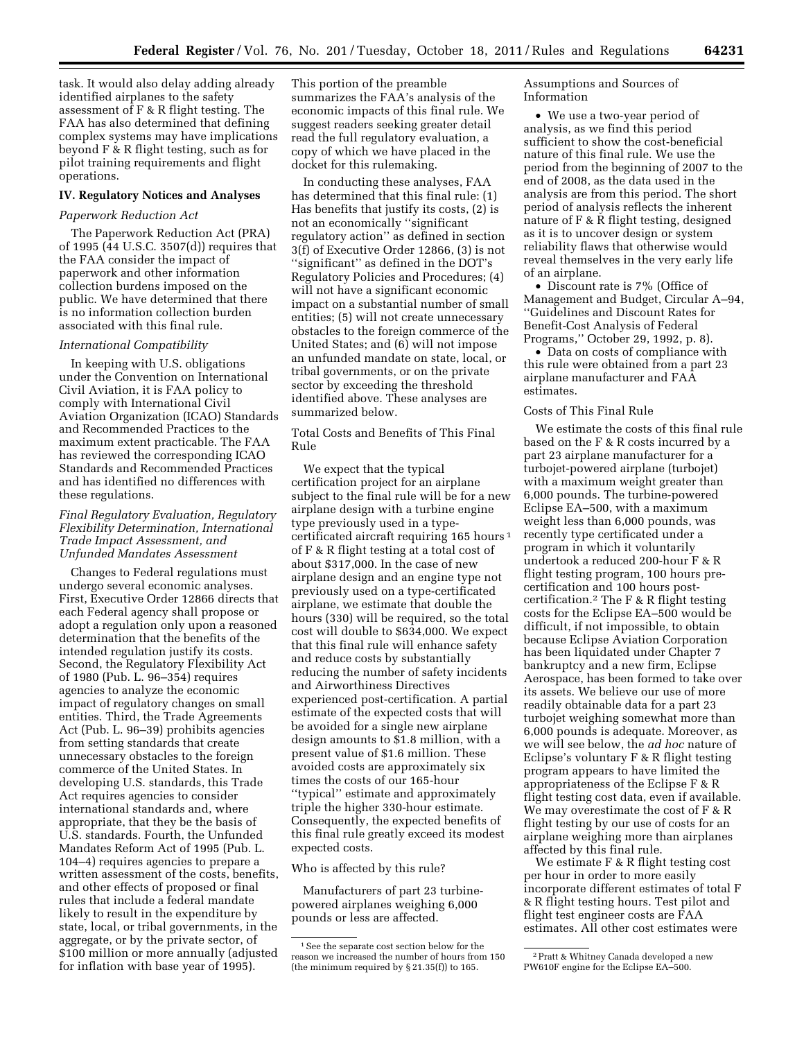task. It would also delay adding already identified airplanes to the safety assessment of F & R flight testing. The FAA has also determined that defining complex systems may have implications beyond F & R flight testing, such as for pilot training requirements and flight operations.

#### **IV. Regulatory Notices and Analyses**

#### *Paperwork Reduction Act*

The Paperwork Reduction Act (PRA) of 1995 (44 U.S.C. 3507(d)) requires that the FAA consider the impact of paperwork and other information collection burdens imposed on the public. We have determined that there is no information collection burden associated with this final rule.

## *International Compatibility*

In keeping with U.S. obligations under the Convention on International Civil Aviation, it is FAA policy to comply with International Civil Aviation Organization (ICAO) Standards and Recommended Practices to the maximum extent practicable. The FAA has reviewed the corresponding ICAO Standards and Recommended Practices and has identified no differences with these regulations.

# *Final Regulatory Evaluation, Regulatory Flexibility Determination, International Trade Impact Assessment, and Unfunded Mandates Assessment*

Changes to Federal regulations must undergo several economic analyses. First, Executive Order 12866 directs that each Federal agency shall propose or adopt a regulation only upon a reasoned determination that the benefits of the intended regulation justify its costs. Second, the Regulatory Flexibility Act of 1980 (Pub. L. 96–354) requires agencies to analyze the economic impact of regulatory changes on small entities. Third, the Trade Agreements Act (Pub. L. 96–39) prohibits agencies from setting standards that create unnecessary obstacles to the foreign commerce of the United States. In developing U.S. standards, this Trade Act requires agencies to consider international standards and, where appropriate, that they be the basis of U.S. standards. Fourth, the Unfunded Mandates Reform Act of 1995 (Pub. L. 104–4) requires agencies to prepare a written assessment of the costs, benefits, and other effects of proposed or final rules that include a federal mandate likely to result in the expenditure by state, local, or tribal governments, in the aggregate, or by the private sector, of \$100 million or more annually (adjusted for inflation with base year of 1995).

This portion of the preamble summarizes the FAA's analysis of the economic impacts of this final rule. We suggest readers seeking greater detail read the full regulatory evaluation, a copy of which we have placed in the docket for this rulemaking.

In conducting these analyses, FAA has determined that this final rule: (1) Has benefits that justify its costs, (2) is not an economically ''significant regulatory action'' as defined in section 3(f) of Executive Order 12866, (3) is not ''significant'' as defined in the DOT's Regulatory Policies and Procedures; (4) will not have a significant economic impact on a substantial number of small entities; (5) will not create unnecessary obstacles to the foreign commerce of the United States; and (6) will not impose an unfunded mandate on state, local, or tribal governments, or on the private sector by exceeding the threshold identified above. These analyses are summarized below.

Total Costs and Benefits of This Final Rule

We expect that the typical certification project for an airplane subject to the final rule will be for a new airplane design with a turbine engine type previously used in a typecertificated aircraft requiring 165 hours 1 of F & R flight testing at a total cost of about \$317,000. In the case of new airplane design and an engine type not previously used on a type-certificated airplane, we estimate that double the hours (330) will be required, so the total cost will double to \$634,000. We expect that this final rule will enhance safety and reduce costs by substantially reducing the number of safety incidents and Airworthiness Directives experienced post-certification. A partial estimate of the expected costs that will be avoided for a single new airplane design amounts to \$1.8 million, with a present value of \$1.6 million. These avoided costs are approximately six times the costs of our 165-hour ''typical'' estimate and approximately triple the higher 330-hour estimate. Consequently, the expected benefits of this final rule greatly exceed its modest expected costs.

# Who is affected by this rule?

Manufacturers of part 23 turbinepowered airplanes weighing 6,000 pounds or less are affected.

Assumptions and Sources of Information

• We use a two-year period of analysis, as we find this period sufficient to show the cost-beneficial nature of this final rule. We use the period from the beginning of 2007 to the end of 2008, as the data used in the analysis are from this period. The short period of analysis reflects the inherent nature of F & R flight testing, designed as it is to uncover design or system reliability flaws that otherwise would reveal themselves in the very early life of an airplane.

• Discount rate is 7% (Office of Management and Budget, Circular A–94, ''Guidelines and Discount Rates for Benefit-Cost Analysis of Federal Programs,'' October 29, 1992, p. 8).

• Data on costs of compliance with this rule were obtained from a part 23 airplane manufacturer and FAA estimates.

# Costs of This Final Rule

We estimate the costs of this final rule based on the F & R costs incurred by a part 23 airplane manufacturer for a turbojet-powered airplane (turbojet) with a maximum weight greater than 6,000 pounds. The turbine-powered Eclipse EA–500, with a maximum weight less than 6,000 pounds, was recently type certificated under a program in which it voluntarily undertook a reduced 200-hour F & R flight testing program, 100 hours precertification and 100 hours postcertification.2 The F & R flight testing costs for the Eclipse EA–500 would be difficult, if not impossible, to obtain because Eclipse Aviation Corporation has been liquidated under Chapter 7 bankruptcy and a new firm, Eclipse Aerospace, has been formed to take over its assets. We believe our use of more readily obtainable data for a part 23 turbojet weighing somewhat more than 6,000 pounds is adequate. Moreover, as we will see below, the *ad hoc* nature of Eclipse's voluntary F & R flight testing program appears to have limited the appropriateness of the Eclipse F & R flight testing cost data, even if available. We may overestimate the cost of F & R flight testing by our use of costs for an airplane weighing more than airplanes affected by this final rule.

We estimate F & R flight testing cost per hour in order to more easily incorporate different estimates of total F & R flight testing hours. Test pilot and flight test engineer costs are FAA estimates. All other cost estimates were

<sup>&</sup>lt;sup>1</sup> See the separate cost section below for the reason we increased the number of hours from 150 (the minimum required by § 21.35(f)) to 165.

<sup>2</sup>Pratt & Whitney Canada developed a new PW610F engine for the Eclipse EA–500.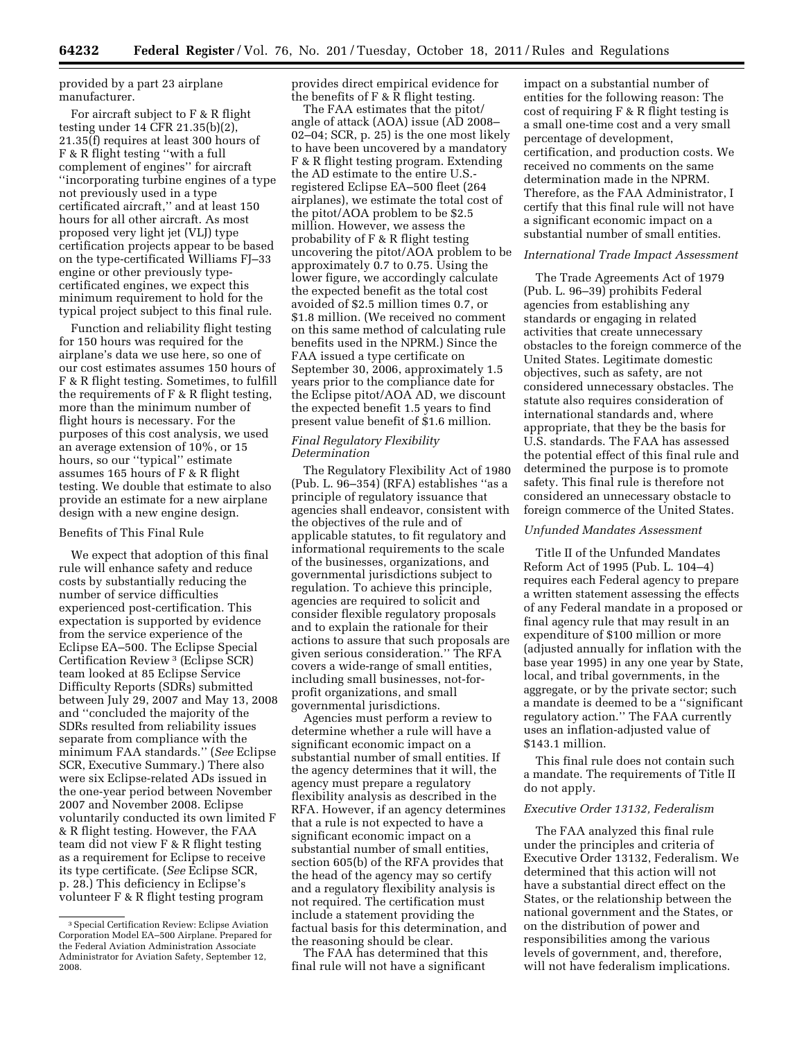provided by a part 23 airplane manufacturer.

For aircraft subject to F & R flight testing under 14 CFR 21.35(b)(2), 21.35(f) requires at least 300 hours of F & R flight testing ''with a full complement of engines'' for aircraft ''incorporating turbine engines of a type not previously used in a type certificated aircraft,'' and at least 150 hours for all other aircraft. As most proposed very light jet (VLJ) type certification projects appear to be based on the type-certificated Williams FJ–33 engine or other previously typecertificated engines, we expect this minimum requirement to hold for the typical project subject to this final rule.

Function and reliability flight testing for 150 hours was required for the airplane's data we use here, so one of our cost estimates assumes 150 hours of F & R flight testing. Sometimes, to fulfill the requirements of F & R flight testing, more than the minimum number of flight hours is necessary. For the purposes of this cost analysis, we used an average extension of 10%, or 15 hours, so our ''typical'' estimate assumes 165 hours of F & R flight testing. We double that estimate to also provide an estimate for a new airplane design with a new engine design.

#### Benefits of This Final Rule

We expect that adoption of this final rule will enhance safety and reduce costs by substantially reducing the number of service difficulties experienced post-certification. This expectation is supported by evidence from the service experience of the Eclipse EA–500. The Eclipse Special Certification Review 3 (Eclipse SCR) team looked at 85 Eclipse Service Difficulty Reports (SDRs) submitted between July 29, 2007 and May 13, 2008 and ''concluded the majority of the SDRs resulted from reliability issues separate from compliance with the minimum FAA standards.'' (*See* Eclipse SCR, Executive Summary.) There also were six Eclipse-related ADs issued in the one-year period between November 2007 and November 2008. Eclipse voluntarily conducted its own limited F & R flight testing. However, the FAA team did not view F & R flight testing as a requirement for Eclipse to receive its type certificate. (*See* Eclipse SCR, p. 28.) This deficiency in Eclipse's volunteer F & R flight testing program

provides direct empirical evidence for the benefits of F & R flight testing.

The FAA estimates that the pitot/ angle of attack (AOA) issue (AD 2008– 02–04; SCR, p. 25) is the one most likely to have been uncovered by a mandatory F & R flight testing program. Extending the AD estimate to the entire U.S. registered Eclipse EA–500 fleet (264 airplanes), we estimate the total cost of the pitot/AOA problem to be \$2.5 million. However, we assess the probability of F & R flight testing uncovering the pitot/AOA problem to be approximately 0.7 to 0.75. Using the lower figure, we accordingly calculate the expected benefit as the total cost avoided of \$2.5 million times 0.7, or \$1.8 million. (We received no comment on this same method of calculating rule benefits used in the NPRM.) Since the FAA issued a type certificate on September 30, 2006, approximately 1.5 years prior to the compliance date for the Eclipse pitot/AOA AD, we discount the expected benefit 1.5 years to find present value benefit of \$1.6 million.

#### *Final Regulatory Flexibility Determination*

The Regulatory Flexibility Act of 1980 (Pub. L. 96–354) (RFA) establishes ''as a principle of regulatory issuance that agencies shall endeavor, consistent with the objectives of the rule and of applicable statutes, to fit regulatory and informational requirements to the scale of the businesses, organizations, and governmental jurisdictions subject to regulation. To achieve this principle, agencies are required to solicit and consider flexible regulatory proposals and to explain the rationale for their actions to assure that such proposals are given serious consideration.'' The RFA covers a wide-range of small entities, including small businesses, not-forprofit organizations, and small governmental jurisdictions.

Agencies must perform a review to determine whether a rule will have a significant economic impact on a substantial number of small entities. If the agency determines that it will, the agency must prepare a regulatory flexibility analysis as described in the RFA. However, if an agency determines that a rule is not expected to have a significant economic impact on a substantial number of small entities, section 605(b) of the RFA provides that the head of the agency may so certify and a regulatory flexibility analysis is not required. The certification must include a statement providing the factual basis for this determination, and the reasoning should be clear.

The FAA has determined that this final rule will not have a significant

impact on a substantial number of entities for the following reason: The cost of requiring F & R flight testing is a small one-time cost and a very small percentage of development, certification, and production costs. We received no comments on the same determination made in the NPRM. Therefore, as the FAA Administrator, I certify that this final rule will not have a significant economic impact on a substantial number of small entities.

#### *International Trade Impact Assessment*

The Trade Agreements Act of 1979 (Pub. L. 96–39) prohibits Federal agencies from establishing any standards or engaging in related activities that create unnecessary obstacles to the foreign commerce of the United States. Legitimate domestic objectives, such as safety, are not considered unnecessary obstacles. The statute also requires consideration of international standards and, where appropriate, that they be the basis for U.S. standards. The FAA has assessed the potential effect of this final rule and determined the purpose is to promote safety. This final rule is therefore not considered an unnecessary obstacle to foreign commerce of the United States.

## *Unfunded Mandates Assessment*

Title II of the Unfunded Mandates Reform Act of 1995 (Pub. L. 104–4) requires each Federal agency to prepare a written statement assessing the effects of any Federal mandate in a proposed or final agency rule that may result in an expenditure of \$100 million or more (adjusted annually for inflation with the base year 1995) in any one year by State, local, and tribal governments, in the aggregate, or by the private sector; such a mandate is deemed to be a ''significant regulatory action.'' The FAA currently uses an inflation-adjusted value of \$143.1 million.

This final rule does not contain such a mandate. The requirements of Title II do not apply.

# *Executive Order 13132, Federalism*

The FAA analyzed this final rule under the principles and criteria of Executive Order 13132, Federalism. We determined that this action will not have a substantial direct effect on the States, or the relationship between the national government and the States, or on the distribution of power and responsibilities among the various levels of government, and, therefore, will not have federalism implications.

<sup>3</sup>Special Certification Review: Eclipse Aviation Corporation Model EA–500 Airplane. Prepared for the Federal Aviation Administration Associate Administrator for Aviation Safety, September 12, 2008.